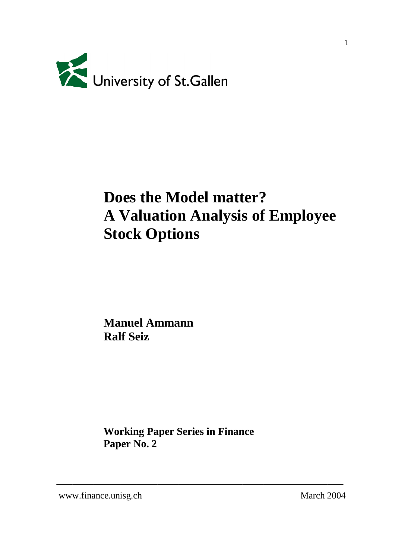

# **Does the Model matter? A Valuation Analysis of Employee Stock Options**

**Manuel Ammann Ralf Seiz**

**Working Paper Series in Finance Paper No. 2**

**\_\_\_\_\_\_\_\_\_\_\_\_\_\_\_\_\_\_\_\_\_\_\_\_\_\_\_\_\_\_\_\_\_\_\_\_\_\_\_\_\_\_\_\_\_\_\_\_\_\_\_\_\_\_**

www.finance.unisg.ch March 2004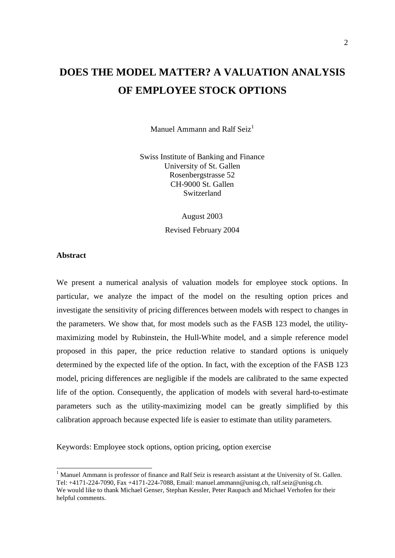# **DOES THE MODEL MATTER? A VALUATION ANALYSIS OF EMPLOYEE STOCK OPTIONS**

Manuel Ammann and Ralf Seiz<sup>1</sup>

Swiss Institute of Banking and Finance University of St. Gallen Rosenbergstrasse 52 CH-9000 St. Gallen Switzerland

> August 2003 Revised February 2004

# **Abstract**

 $\overline{a}$ 

We present a numerical analysis of valuation models for employee stock options. In particular, we analyze the impact of the model on the resulting option prices and investigate the sensitivity of pricing differences between models with respect to changes in the parameters. We show that, for most models such as the FASB 123 model, the utilitymaximizing model by Rubinstein, the Hull-White model, and a simple reference model proposed in this paper, the price reduction relative to standard options is uniquely determined by the expected life of the option. In fact, with the exception of the FASB 123 model, pricing differences are negligible if the models are calibrated to the same expected life of the option. Consequently, the application of models with several hard-to-estimate parameters such as the utility-maximizing model can be greatly simplified by this calibration approach because expected life is easier to estimate than utility parameters.

Keywords: Employee stock options, option pricing, option exercise

<sup>&</sup>lt;sup>1</sup> Manuel Ammann is professor of finance and Ralf Seiz is research assistant at the University of St. Gallen. Tel: +4171-224-7090, Fax +4171-224-7088, Email: manuel.ammann@unisg.ch, ralf.seiz@unisg.ch. We would like to thank Michael Genser, Stephan Kessler, Peter Raupach and Michael Verhofen for their

helpful comments.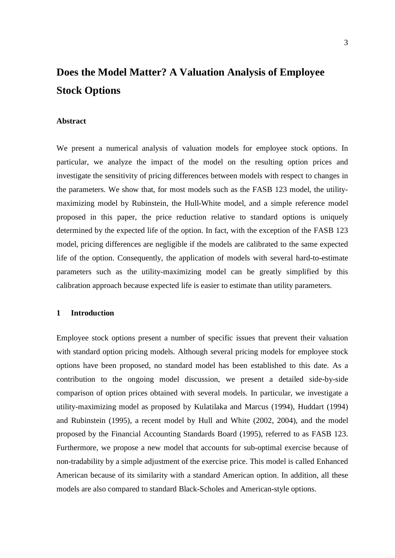# **Does the Model Matter? A Valuation Analysis of Employee Stock Options**

# **Abstract**

We present a numerical analysis of valuation models for employee stock options. In particular, we analyze the impact of the model on the resulting option prices and investigate the sensitivity of pricing differences between models with respect to changes in the parameters. We show that, for most models such as the FASB 123 model, the utilitymaximizing model by Rubinstein, the Hull-White model, and a simple reference model proposed in this paper, the price reduction relative to standard options is uniquely determined by the expected life of the option. In fact, with the exception of the FASB 123 model, pricing differences are negligible if the models are calibrated to the same expected life of the option. Consequently, the application of models with several hard-to-estimate parameters such as the utility-maximizing model can be greatly simplified by this calibration approach because expected life is easier to estimate than utility parameters.

#### **1 Introduction**

Employee stock options present a number of specific issues that prevent their valuation with standard option pricing models. Although several pricing models for employee stock options have been proposed, no standard model has been established to this date. As a contribution to the ongoing model discussion, we present a detailed side-by-side comparison of option prices obtained with several models. In particular, we investigate a utility-maximizing model as proposed by Kulatilaka and Marcus (1994), Huddart (1994) and Rubinstein (1995), a recent model by Hull and White (2002, 2004), and the model proposed by the Financial Accounting Standards Board (1995), referred to as FASB 123. Furthermore, we propose a new model that accounts for sub-optimal exercise because of non-tradability by a simple adjustment of the exercise price. This model is called Enhanced American because of its similarity with a standard American option. In addition, all these models are also compared to standard Black-Scholes and American-style options.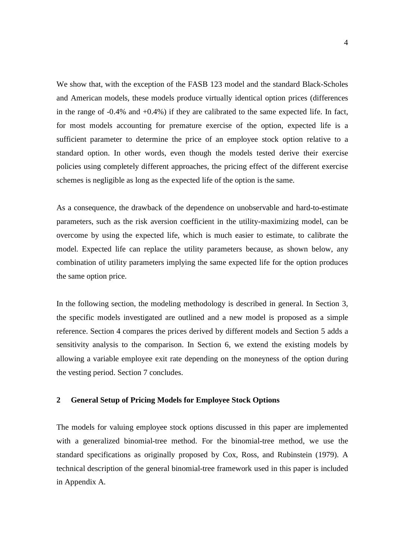We show that, with the exception of the FASB 123 model and the standard Black-Scholes and American models, these models produce virtually identical option prices (differences in the range of -0.4% and +0.4%) if they are calibrated to the same expected life. In fact, for most models accounting for premature exercise of the option, expected life is a sufficient parameter to determine the price of an employee stock option relative to a standard option. In other words, even though the models tested derive their exercise policies using completely different approaches, the pricing effect of the different exercise schemes is negligible as long as the expected life of the option is the same.

As a consequence, the drawback of the dependence on unobservable and hard-to-estimate parameters, such as the risk aversion coefficient in the utility-maximizing model, can be overcome by using the expected life, which is much easier to estimate, to calibrate the model. Expected life can replace the utility parameters because, as shown below, any combination of utility parameters implying the same expected life for the option produces the same option price.

In the following section, the modeling methodology is described in general. In Section 3, the specific models investigated are outlined and a new model is proposed as a simple reference. Section 4 compares the prices derived by different models and Section 5 adds a sensitivity analysis to the comparison. In Section 6, we extend the existing models by allowing a variable employee exit rate depending on the moneyness of the option during the vesting period. Section 7 concludes.

# **2 General Setup of Pricing Models for Employee Stock Options**

The models for valuing employee stock options discussed in this paper are implemented with a generalized binomial-tree method. For the binomial-tree method, we use the standard specifications as originally proposed by Cox, Ross, and Rubinstein (1979). A technical description of the general binomial-tree framework used in this paper is included in Appendix A.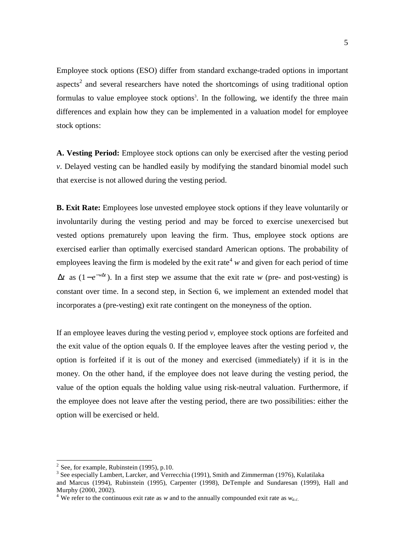Employee stock options (ESO) differ from standard exchange-traded options in important aspects<sup>2</sup> and several researchers have noted the shortcomings of using traditional option formulas to value employee stock options<sup>3</sup>. In the following, we identify the three main differences and explain how they can be implemented in a valuation model for employee stock options:

**A. Vesting Period:** Employee stock options can only be exercised after the vesting period *v*. Delayed vesting can be handled easily by modifying the standard binomial model such that exercise is not allowed during the vesting period.

**B. Exit Rate:** Employees lose unvested employee stock options if they leave voluntarily or involuntarily during the vesting period and may be forced to exercise unexercised but vested options prematurely upon leaving the firm. Thus, employee stock options are exercised earlier than optimally exercised standard American options. The probability of employees leaving the firm is modeled by the exit rate<sup>4</sup>  $w$  and given for each period of time  $\Delta t$  as  $(1 - e^{-w\Delta t})$ . In a first step we assume that the exit rate *w* (pre- and post-vesting) is constant over time. In a second step, in Section 6, we implement an extended model that incorporates a (pre-vesting) exit rate contingent on the moneyness of the option.

If an employee leaves during the vesting period *v,* employee stock options are forfeited and the exit value of the option equals 0. If the employee leaves after the vesting period  $v$ , the option is forfeited if it is out of the money and exercised (immediately) if it is in the money. On the other hand, if the employee does not leave during the vesting period, the value of the option equals the holding value using risk-neutral valuation. Furthermore, if the employee does not leave after the vesting period, there are two possibilities: either the option will be exercised or held.

 $2$  See, for example, Rubinstein (1995), p.10.

<sup>&</sup>lt;sup>3</sup> See especially Lambert, Larcker, and Verrecchia (1991), Smith and Zimmerman (1976), Kulatilaka and Marcus (1994), Rubinstein (1995), Carpenter (1998), DeTemple and Sundaresan (1999), Hall and Murphy (2000, 2002).

<sup>&</sup>lt;sup>4</sup> We refer to the continuous exit rate as *w* and to the annually compounded exit rate as  $w_{ac}$ .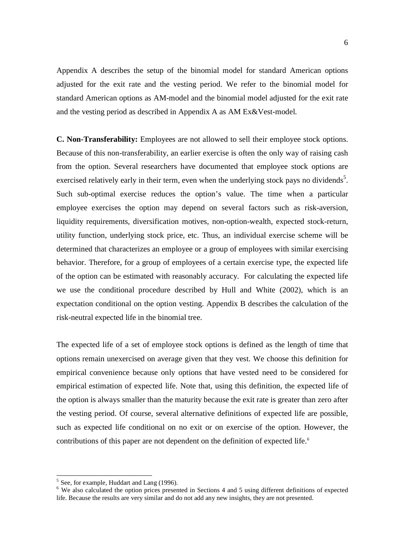Appendix A describes the setup of the binomial model for standard American options adjusted for the exit rate and the vesting period. We refer to the binomial model for standard American options as AM-model and the binomial model adjusted for the exit rate and the vesting period as described in Appendix A as AM Ex&Vest-model.

**C. Non-Transferability:** Employees are not allowed to sell their employee stock options. Because of this non-transferability, an earlier exercise is often the only way of raising cash from the option. Several researchers have documented that employee stock options are exercised relatively early in their term, even when the underlying stock pays no dividends<sup>5</sup>. Such sub-optimal exercise reduces the option's value. The time when a particular employee exercises the option may depend on several factors such as risk-aversion, liquidity requirements, diversification motives, non-option-wealth, expected stock-return, utility function, underlying stock price, etc. Thus, an individual exercise scheme will be determined that characterizes an employee or a group of employees with similar exercising behavior. Therefore, for a group of employees of a certain exercise type, the expected life of the option can be estimated with reasonably accuracy. For calculating the expected life we use the conditional procedure described by Hull and White (2002), which is an expectation conditional on the option vesting. Appendix B describes the calculation of the risk-neutral expected life in the binomial tree.

The expected life of a set of employee stock options is defined as the length of time that options remain unexercised on average given that they vest. We choose this definition for empirical convenience because only options that have vested need to be considered for empirical estimation of expected life. Note that, using this definition, the expected life of the option is always smaller than the maturity because the exit rate is greater than zero after the vesting period. Of course, several alternative definitions of expected life are possible, such as expected life conditional on no exit or on exercise of the option. However, the contributions of this paper are not dependent on the definition of expected life.<sup>6</sup>

 $<sup>5</sup>$  See, for example, Huddart and Lang (1996).</sup>

<sup>&</sup>lt;sup>6</sup> We also calculated the option prices presented in Sections 4 and 5 using different definitions of expected life. Because the results are very similar and do not add any new insights, they are not presented.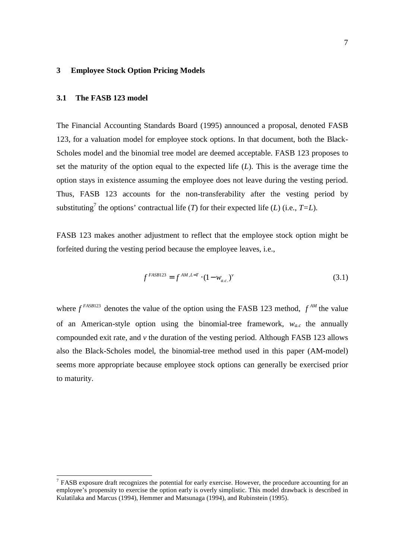# **3 Employee Stock Option Pricing Models**

# **3.1 The FASB 123 model**

 $\overline{a}$ 

The Financial Accounting Standards Board (1995) announced a proposal, denoted FASB 123, for a valuation model for employee stock options. In that document, both the Black-Scholes model and the binomial tree model are deemed acceptable. FASB 123 proposes to set the maturity of the option equal to the expected life (*L*). This is the average time the option stays in existence assuming the employee does not leave during the vesting period. Thus, FASB 123 accounts for the non-transferability after the vesting period by substituting<sup>7</sup> the options' contractual life (*T*) for their expected life (*L*) (i.e., *T*=*L*).

FASB 123 makes another adjustment to reflect that the employee stock option might be forfeited during the vesting period because the employee leaves, i.e.,

$$
f^{FASB123} = f^{AM,L=T} \cdot (1 - w_{a.c.})^{\nu}
$$
\n(3.1)

where  $f^{FASB123}$  denotes the value of the option using the FASB 123 method,  $f^{AM}$  the value of an American-style option using the binomial-tree framework,  $w_{ac}$  the annually compounded exit rate, and *v* the duration of the vesting period. Although FASB 123 allows also the Black-Scholes model, the binomial-tree method used in this paper (AM-model) seems more appropriate because employee stock options can generally be exercised prior to maturity.

 $<sup>7</sup>$  FASB exposure draft recognizes the potential for early exercise. However, the procedure accounting for an</sup> employee's propensity to exercise the option early is overly simplistic. This model drawback is described in Kulatilaka and Marcus (1994), Hemmer and Matsunaga (1994), and Rubinstein (1995).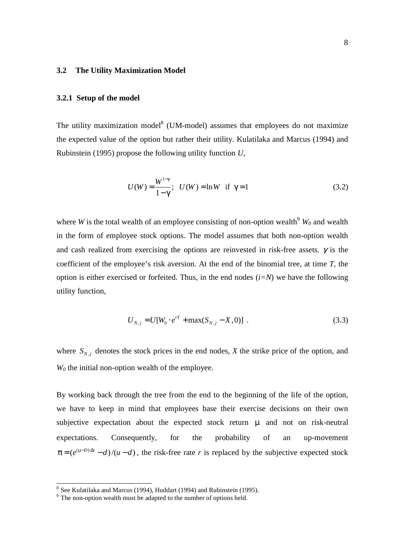# **3.2 The Utility Maximization Model**

## **3.2.1 Setup of the model**

The utility maximization model<sup>8</sup> (UM-model) assumes that employees do not maximize the expected value of the option but rather their utility. Kulatilaka and Marcus (1994) and Rubinstein (1995) propose the following utility function *U*,

$$
U(W) = \frac{W^{1-\gamma}}{1-\gamma}; \quad U(W) = \ln W \quad \text{if } \gamma = 1
$$
 (3.2)

where *W* is the total wealth of an employee consisting of non-option wealth<sup>9</sup>  $W_0$  and wealth in the form of employee stock options. The model assumes that both non-option wealth and cash realized from exercising the options are reinvested in risk-free assets.  $\gamma$  is the coefficient of the employee's risk aversion. At the end of the binomial tree, at time *T,* the option is either exercised or forfeited. Thus, in the end nodes (*i=N*) we have the following utility function,

$$
U_{N,j} = U[W_0 \cdot e^{rT} + \max(S_{N,j} - X, 0)] \tag{3.3}
$$

where  $S_{N,i}$  denotes the stock prices in the end nodes, *X* the strike price of the option, and *W0* the initial non-option wealth of the employee.

By working back through the tree from the end to the beginning of the life of the option, we have to keep in mind that employees base their exercise decisions on their own subjective expectation about the expected stock return  $\mu$  and not on risk-neutral expectations. Consequently, for the probability of an up-movement  $\pi = (e^{(\mu - D) \Delta t} - d) / (u - d)$ , the risk-free rate *r* is replaced by the subjective expected stock

 $8$  See Kulatilaka and Marcus (1994), Huddart (1994) and Rubinstein (1995).

<sup>&</sup>lt;sup>9</sup> The non-option wealth must be adapted to the number of options held.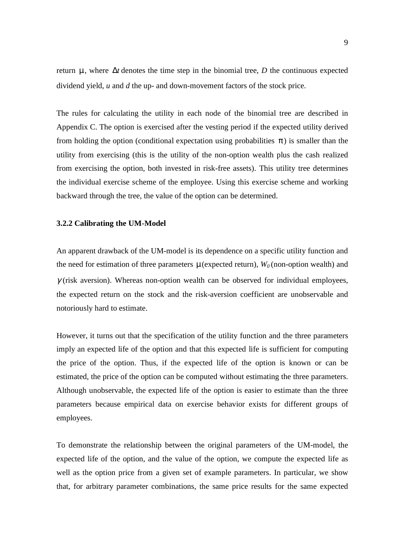return µ, where ∆*t* denotes the time step in the binomial tree, *D* the continuous expected dividend yield, *u* and *d* the up- and down-movement factors of the stock price.

The rules for calculating the utility in each node of the binomial tree are described in Appendix C. The option is exercised after the vesting period if the expected utility derived from holding the option (conditional expectation using probabilities  $\pi$ ) is smaller than the utility from exercising (this is the utility of the non-option wealth plus the cash realized from exercising the option, both invested in risk-free assets). This utility tree determines the individual exercise scheme of the employee. Using this exercise scheme and working backward through the tree, the value of the option can be determined.

### **3.2.2 Calibrating the UM-Model**

An apparent drawback of the UM-model is its dependence on a specific utility function and the need for estimation of three parameters  $\mu$  (expected return),  $W_0$  (non-option wealth) and  $\gamma$  (risk aversion). Whereas non-option wealth can be observed for individual employees, the expected return on the stock and the risk-aversion coefficient are unobservable and notoriously hard to estimate.

However, it turns out that the specification of the utility function and the three parameters imply an expected life of the option and that this expected life is sufficient for computing the price of the option. Thus, if the expected life of the option is known or can be estimated, the price of the option can be computed without estimating the three parameters. Although unobservable, the expected life of the option is easier to estimate than the three parameters because empirical data on exercise behavior exists for different groups of employees.

To demonstrate the relationship between the original parameters of the UM-model, the expected life of the option, and the value of the option, we compute the expected life as well as the option price from a given set of example parameters. In particular, we show that, for arbitrary parameter combinations, the same price results for the same expected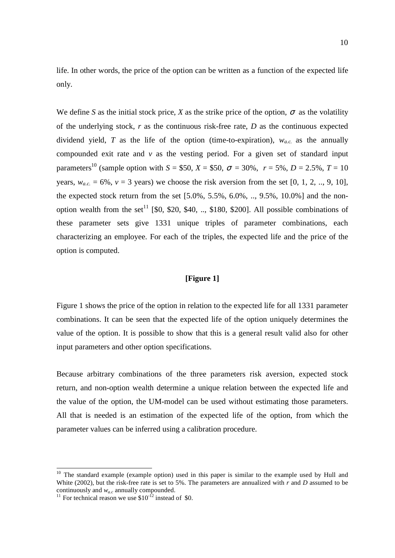life. In other words, the price of the option can be written as a function of the expected life only.

We define *S* as the initial stock price, *X* as the strike price of the option,  $\sigma$  as the volatility of the underlying stock, *r* as the continuous risk-free rate, *D* as the continuous expected dividend yield, T as the life of the option (time-to-expiration),  $w_{a,c}$  as the annually compounded exit rate and *v* as the vesting period. For a given set of standard input parameters<sup>10</sup> (sample option with  $S = $50, X = $50, \sigma = 30\%$ ,  $r = 5\%$ ,  $D = 2.5\%$ ,  $T = 10$ years,  $w_{ac} = 6\%$ ,  $v = 3$  years) we choose the risk aversion from the set [0, 1, 2, .., 9, 10]. the expected stock return from the set  $[5.0\%, 5.5\%, 6.0\%, \dots, 9.5\%, 10.0\%]$  and the nonoption wealth from the set<sup>11</sup> [\$0, \$20, \$40, .., \$180, \$200]. All possible combinations of these parameter sets give 1331 unique triples of parameter combinations, each characterizing an employee. For each of the triples, the expected life and the price of the option is computed.

# **[Figure 1]**

Figure 1 shows the price of the option in relation to the expected life for all 1331 parameter combinations. It can be seen that the expected life of the option uniquely determines the value of the option. It is possible to show that this is a general result valid also for other input parameters and other option specifications.

Because arbitrary combinations of the three parameters risk aversion, expected stock return, and non-option wealth determine a unique relation between the expected life and the value of the option, the UM-model can be used without estimating those parameters. All that is needed is an estimation of the expected life of the option, from which the parameter values can be inferred using a calibration procedure.

 $10$  The standard example (example option) used in this paper is similar to the example used by Hull and White (2002), but the risk-free rate is set to 5%. The parameters are annualized with *r* and *D* assumed to be continuously and  $w_{a,c}$  annually compounded.<br><sup>11</sup> For technical reason we use \$10<sup>-12</sup> instead of \$0.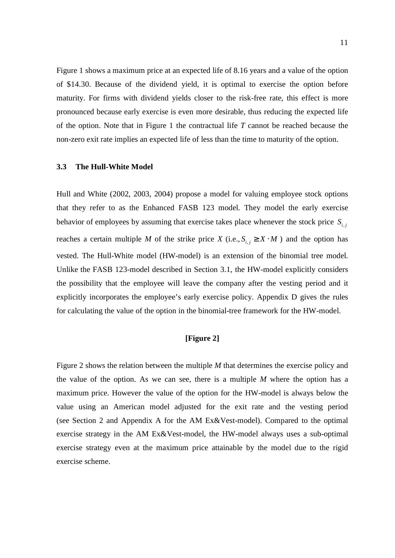Figure 1 shows a maximum price at an expected life of 8.16 years and a value of the option of \$14.30. Because of the dividend yield, it is optimal to exercise the option before maturity. For firms with dividend yields closer to the risk-free rate, this effect is more pronounced because early exercise is even more desirable, thus reducing the expected life of the option. Note that in Figure 1 the contractual life *T* cannot be reached because the non-zero exit rate implies an expected life of less than the time to maturity of the option.

#### **3.3 The Hull-White Model**

Hull and White (2002, 2003, 2004) propose a model for valuing employee stock options that they refer to as the Enhanced FASB 123 model. They model the early exercise behavior of employees by assuming that exercise takes place whenever the stock price  $S_{i,j}$ reaches a certain multiple *M* of the strike price *X* (i.e.,  $S_{i,j} \geq X \cdot M$ ) and the option has vested. The Hull-White model (HW-model) is an extension of the binomial tree model. Unlike the FASB 123-model described in Section 3.1, the HW-model explicitly considers the possibility that the employee will leave the company after the vesting period and it explicitly incorporates the employee's early exercise policy. Appendix D gives the rules for calculating the value of the option in the binomial-tree framework for the HW-model.

# **[Figure 2]**

Figure 2 shows the relation between the multiple *M* that determines the exercise policy and the value of the option. As we can see, there is a multiple *M* where the option has a maximum price. However the value of the option for the HW-model is always below the value using an American model adjusted for the exit rate and the vesting period (see Section 2 and Appendix A for the AM Ex&Vest-model). Compared to the optimal exercise strategy in the AM Ex&Vest-model, the HW-model always uses a sub-optimal exercise strategy even at the maximum price attainable by the model due to the rigid exercise scheme.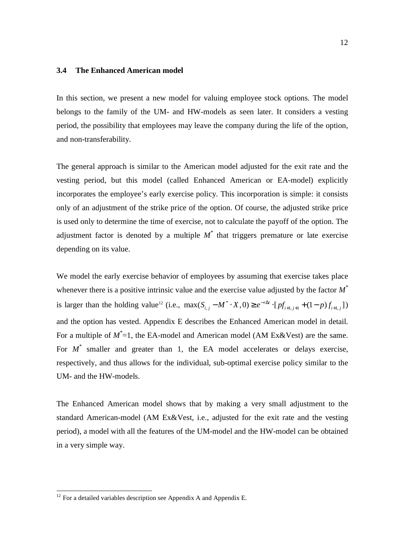# **3.4 The Enhanced American model**

In this section, we present a new model for valuing employee stock options. The model belongs to the family of the UM- and HW-models as seen later. It considers a vesting period, the possibility that employees may leave the company during the life of the option, and non-transferability.

The general approach is similar to the American model adjusted for the exit rate and the vesting period, but this model (called Enhanced American or EA-model) explicitly incorporates the employee's early exercise policy. This incorporation is simple: it consists only of an adjustment of the strike price of the option. Of course, the adjusted strike price is used only to determine the time of exercise, not to calculate the payoff of the option. The adjustment factor is denoted by a multiple  $M^*$  that triggers premature or late exercise depending on its value.

We model the early exercise behavior of employees by assuming that exercise takes place whenever there is a positive intrinsic value and the exercise value adjusted by the factor *M\** is larger than the holding value<sup>12</sup> (i.e.,  $\max(S_{i,j} - M^* \cdot X, 0) \ge e^{-r\Delta t} \cdot [pf_{i+1,j+1} + (1-p)f_{i+1,j}]$ ) and the option has vested. Appendix E describes the Enhanced American model in detail. For a multiple of  $M^*=1$ , the EA-model and American model (AM Ex&Vest) are the same. For  $M^*$  smaller and greater than 1, the EA model accelerates or delays exercise, respectively, and thus allows for the individual, sub-optimal exercise policy similar to the UM- and the HW-models.

The Enhanced American model shows that by making a very small adjustment to the standard American-model (AM Ex&Vest, i.e., adjusted for the exit rate and the vesting period), a model with all the features of the UM-model and the HW-model can be obtained in a very simple way.

 $12$  For a detailed variables description see Appendix A and Appendix E.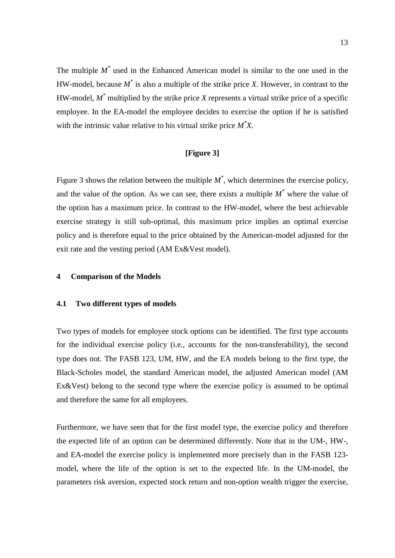The multiple  $M^*$  used in the Enhanced American model is similar to the one used in the HW-model, because *M\** is also a multiple of the strike price *X*. However, in contrast to the HW-model, *M\** multiplied by the strike price *X* represents a virtual strike price of a specific employee. In the EA-model the employee decides to exercise the option if he is satisfied with the intrinsic value relative to his virtual strike price *M\* X*.

# **[Figure 3]**

Figure 3 shows the relation between the multiple  $M^*$ , which determines the exercise policy, and the value of the option. As we can see, there exists a multiple  $M^*$  where the value of the option has a maximum price. In contrast to the HW-model, where the best achievable exercise strategy is still sub-optimal, this maximum price implies an optimal exercise policy and is therefore equal to the price obtained by the American-model adjusted for the exit rate and the vesting period (AM Ex&Vest model).

# **4 Comparison of the Models**

### **4.1 Two different types of models**

Two types of models for employee stock options can be identified. The first type accounts for the individual exercise policy (i.e., accounts for the non-transferability), the second type does not. The FASB 123, UM, HW, and the EA models belong to the first type, the Black-Scholes model, the standard American model, the adjusted American model (AM Ex&Vest) belong to the second type where the exercise policy is assumed to be optimal and therefore the same for all employees.

Furthermore, we have seen that for the first model type, the exercise policy and therefore the expected life of an option can be determined differently. Note that in the UM-, HW-, and EA-model the exercise policy is implemented more precisely than in the FASB 123 model, where the life of the option is set to the expected life. In the UM-model, the parameters risk aversion, expected stock return and non-option wealth trigger the exercise,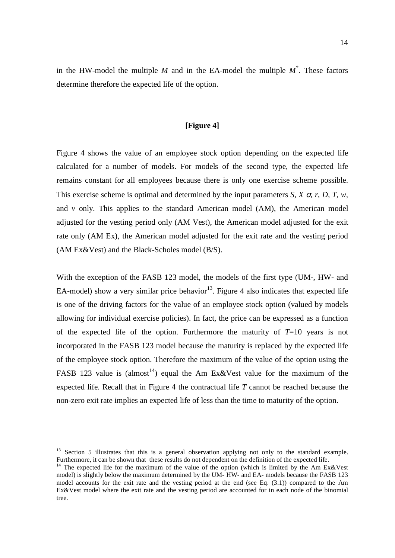in the HW-model the multiple *M* and in the EA-model the multiple *M\** . These factors determine therefore the expected life of the option.

# **[Figure 4]**

Figure 4 shows the value of an employee stock option depending on the expected life calculated for a number of models. For models of the second type, the expected life remains constant for all employees because there is only one exercise scheme possible. This exercise scheme is optimal and determined by the input parameters *S, X* σ*, r, D, T, w,* and *v* only. This applies to the standard American model (AM), the American model adjusted for the vesting period only (AM Vest), the American model adjusted for the exit rate only (AM Ex), the American model adjusted for the exit rate and the vesting period (AM Ex&Vest) and the Black-Scholes model (B/S).

With the exception of the FASB 123 model, the models of the first type (UM-, HW- and EA-model) show a very similar price behavior<sup>13</sup>. Figure 4 also indicates that expected life is one of the driving factors for the value of an employee stock option (valued by models allowing for individual exercise policies). In fact, the price can be expressed as a function of the expected life of the option. Furthermore the maturity of  $T=10$  years is not incorporated in the FASB 123 model because the maturity is replaced by the expected life of the employee stock option. Therefore the maximum of the value of the option using the FASB 123 value is (almost<sup>14</sup>) equal the Am Ex&Vest value for the maximum of the expected life. Recall that in Figure 4 the contractual life *T* cannot be reached because the non-zero exit rate implies an expected life of less than the time to maturity of the option.

<sup>&</sup>lt;sup>13</sup> Section 5 illustrates that this is a general observation applying not only to the standard example. Furthermore, it can be shown that these results do not dependent on the definition of the expected life.

<sup>&</sup>lt;sup>14</sup> The expected life for the maximum of the value of the option (which is limited by the Am Ex&Vest model) is slightly below the maximum determined by the UM- HW- and EA- models because the FASB 123 model accounts for the exit rate and the vesting period at the end (see Eq. (3.1)) compared to the Am Ex&Vest model where the exit rate and the vesting period are accounted for in each node of the binomial tree.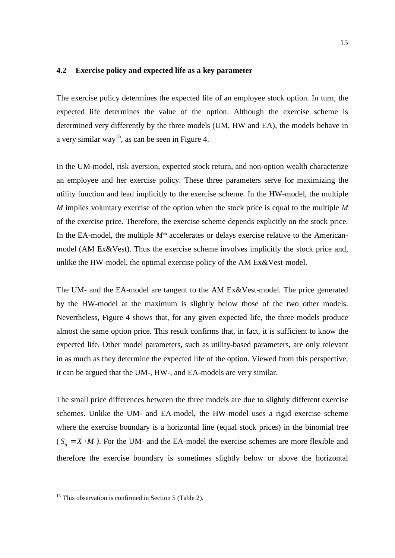#### **4.2 Exercise policy and expected life as a key parameter**

The exercise policy determines the expected life of an employee stock option. In turn, the expected life determines the value of the option. Although the exercise scheme is determined very differently by the three models (UM, HW and EA), the models behave in a very similar way<sup>15</sup>, as can be seen in Figure 4.

In the UM-model, risk aversion, expected stock return, and non-option wealth characterize an employee and her exercise policy. These three parameters serve for maximizing the utility function and lead implicitly to the exercise scheme. In the HW-model, the multiple *M* implies voluntary exercise of the option when the stock price is equal to the multiple *M* of the exercise price. Therefore, the exercise scheme depends explicitly on the stock price. In the EA-model, the multiple *M\** accelerates or delays exercise relative to the Americanmodel (AM Ex&Vest). Thus the exercise scheme involves implicitly the stock price and, unlike the HW-model, the optimal exercise policy of the AM Ex&Vest-model.

The UM- and the EA-model are tangent to the AM Ex&Vest-model. The price generated by the HW-model at the maximum is slightly below those of the two other models. Nevertheless, Figure 4 shows that, for any given expected life, the three models produce almost the same option price. This result confirms that, in fact, it is sufficient to know the expected life. Other model parameters, such as utility-based parameters, are only relevant in as much as they determine the expected life of the option. Viewed from this perspective, it can be argued that the UM-, HW-, and EA-models are very similar.

The small price differences between the three models are due to slightly different exercise schemes. Unlike the UM- and EA-model, the HW-model uses a rigid exercise scheme where the exercise boundary is a horizontal line (equal stock prices) in the binomial tree  $(S_{ij} = X \cdot M)$ . For the UM- and the EA-model the exercise schemes are more flexible and therefore the exercise boundary is sometimes slightly below or above the horizontal

 $15$  This observation is confirmed in Section 5 (Table 2).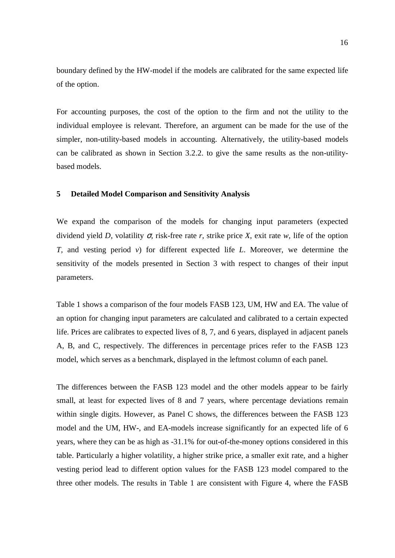boundary defined by the HW-model if the models are calibrated for the same expected life of the option.

For accounting purposes, the cost of the option to the firm and not the utility to the individual employee is relevant. Therefore, an argument can be made for the use of the simpler, non-utility-based models in accounting. Alternatively, the utility-based models can be calibrated as shown in Section 3.2.2. to give the same results as the non-utilitybased models.

## **5 Detailed Model Comparison and Sensitivity Analysis**

We expand the comparison of the models for changing input parameters (expected dividend yield *D*, volatility σ, risk-free rate *r*, strike price *X*, exit rate *w*, life of the option *T,* and vesting period *v*) for different expected life *L*. Moreover, we determine the sensitivity of the models presented in Section 3 with respect to changes of their input parameters.

Table 1 shows a comparison of the four models FASB 123, UM, HW and EA. The value of an option for changing input parameters are calculated and calibrated to a certain expected life. Prices are calibrates to expected lives of 8, 7, and 6 years, displayed in adjacent panels A, B, and C, respectively. The differences in percentage prices refer to the FASB 123 model, which serves as a benchmark, displayed in the leftmost column of each panel.

The differences between the FASB 123 model and the other models appear to be fairly small, at least for expected lives of 8 and 7 years, where percentage deviations remain within single digits. However, as Panel C shows, the differences between the FASB 123 model and the UM, HW-, and EA-models increase significantly for an expected life of 6 years, where they can be as high as -31.1% for out-of-the-money options considered in this table. Particularly a higher volatility, a higher strike price, a smaller exit rate, and a higher vesting period lead to different option values for the FASB 123 model compared to the three other models. The results in Table 1 are consistent with Figure 4, where the FASB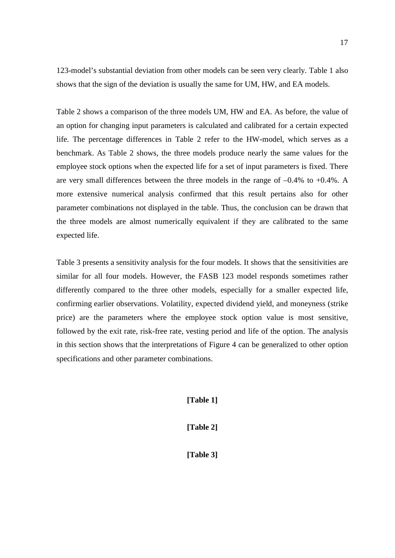123-model's substantial deviation from other models can be seen very clearly. Table 1 also shows that the sign of the deviation is usually the same for UM, HW, and EA models.

Table 2 shows a comparison of the three models UM, HW and EA. As before, the value of an option for changing input parameters is calculated and calibrated for a certain expected life. The percentage differences in Table 2 refer to the HW-model, which serves as a benchmark. As Table 2 shows, the three models produce nearly the same values for the employee stock options when the expected life for a set of input parameters is fixed. There are very small differences between the three models in the range of –0.4% to +0.4%. A more extensive numerical analysis confirmed that this result pertains also for other parameter combinations not displayed in the table. Thus, the conclusion can be drawn that the three models are almost numerically equivalent if they are calibrated to the same expected life.

Table 3 presents a sensitivity analysis for the four models. It shows that the sensitivities are similar for all four models. However, the FASB 123 model responds sometimes rather differently compared to the three other models, especially for a smaller expected life, confirming earlier observations. Volatility, expected dividend yield, and moneyness (strike price) are the parameters where the employee stock option value is most sensitive, followed by the exit rate, risk-free rate, vesting period and life of the option. The analysis in this section shows that the interpretations of Figure 4 can be generalized to other option specifications and other parameter combinations.

**[Table 1]**

**[Table 2]**

**[Table 3]**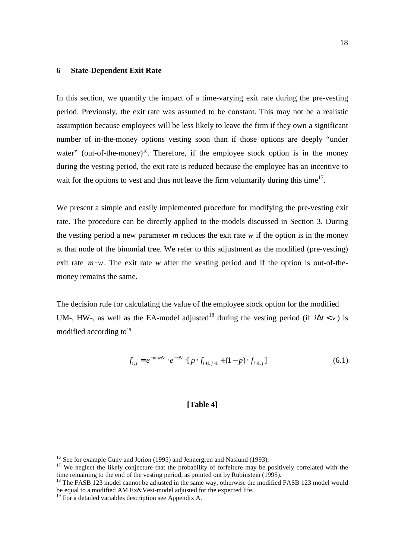### **6 State-Dependent Exit Rate**

In this section, we quantify the impact of a time-varying exit rate during the pre-vesting period. Previously, the exit rate was assumed to be constant. This may not be a realistic assumption because employees will be less likely to leave the firm if they own a significant number of in-the-money options vesting soon than if those options are deeply "under water" (out-of-the-money)<sup>16</sup>. Therefore, if the employee stock option is in the money during the vesting period, the exit rate is reduced because the employee has an incentive to wait for the options to vest and thus not leave the firm voluntarily during this time<sup>17</sup>.

We present a simple and easily implemented procedure for modifying the pre-vesting exit rate. The procedure can be directly applied to the models discussed in Section 3. During the vesting period a new parameter  $m$  reduces the exit rate  $w$  if the option is in the money at that node of the binomial tree. We refer to this adjustment as the modified (pre-vesting) exit rate  $m \cdot w$ . The exit rate *w* after the vesting period and if the option is out-of-themoney remains the same.

The decision rule for calculating the value of the employee stock option for the modified UM-, HW-, as well as the EA-model adjusted<sup>18</sup> during the vesting period (if  $i\Delta t < v$ ) is modified according to $19$ 

$$
f_{i,j} = e^{-m \cdot w \Delta t} \cdot e^{-r \Delta t} \cdot [p \cdot f_{i+1,j+1} + (1-p) \cdot f_{i+1,j}] \tag{6.1}
$$

# **[Table 4]**

<sup>&</sup>lt;sup>16</sup> See for example Cuny and Jorion (1995) and Jennergren and Naslund (1993).<br><sup>17</sup> We neglect the likely conjecture that the probability of forfeiture may be positively correlated with the time remaining to the end of the vesting period, as pointed out by Rubinstein (1995).

<sup>&</sup>lt;sup>18</sup> The FASB 123 model cannot be adjusted in the same way, otherwise the modified FASB 123 model would be equal to a modified AM Ex&Vest-model adjusted for the expected life.

 $19$  For a detailed variables description see Appendix A.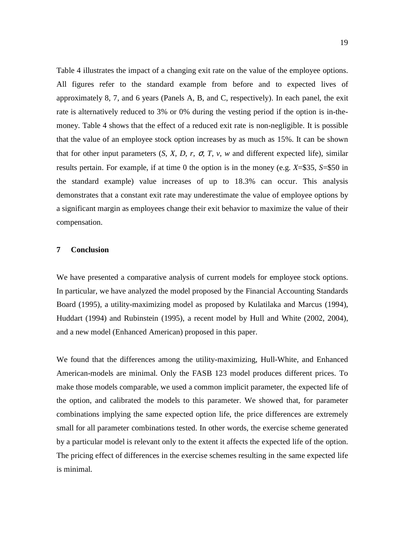Table 4 illustrates the impact of a changing exit rate on the value of the employee options. All figures refer to the standard example from before and to expected lives of approximately 8, 7, and 6 years (Panels A, B, and C, respectively). In each panel, the exit rate is alternatively reduced to 3% or 0% during the vesting period if the option is in-themoney. Table 4 shows that the effect of a reduced exit rate is non-negligible. It is possible that the value of an employee stock option increases by as much as 15%. It can be shown that for other input parameters  $(S, X, D, r, \sigma, T, v, w$  and different expected life), similar results pertain. For example, if at time 0 the option is in the money (e.g. *X*=\$35, *S*=\$50 in the standard example) value increases of up to 18.3% can occur. This analysis demonstrates that a constant exit rate may underestimate the value of employee options by a significant margin as employees change their exit behavior to maximize the value of their compensation.

# **7 Conclusion**

We have presented a comparative analysis of current models for employee stock options. In particular, we have analyzed the model proposed by the Financial Accounting Standards Board (1995), a utility-maximizing model as proposed by Kulatilaka and Marcus (1994), Huddart (1994) and Rubinstein (1995), a recent model by Hull and White (2002, 2004), and a new model (Enhanced American) proposed in this paper.

We found that the differences among the utility-maximizing, Hull-White, and Enhanced American-models are minimal. Only the FASB 123 model produces different prices. To make those models comparable, we used a common implicit parameter, the expected life of the option, and calibrated the models to this parameter. We showed that, for parameter combinations implying the same expected option life, the price differences are extremely small for all parameter combinations tested. In other words, the exercise scheme generated by a particular model is relevant only to the extent it affects the expected life of the option. The pricing effect of differences in the exercise schemes resulting in the same expected life is minimal.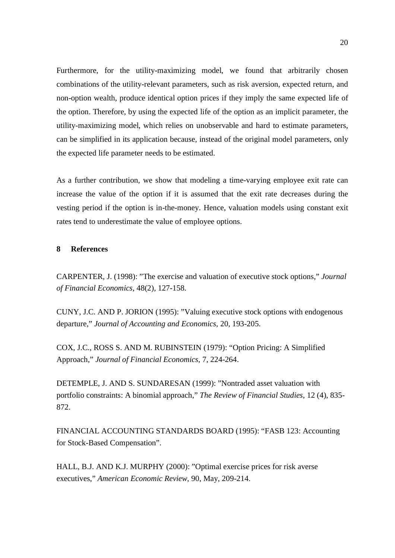Furthermore, for the utility-maximizing model, we found that arbitrarily chosen combinations of the utility-relevant parameters, such as risk aversion, expected return, and non-option wealth, produce identical option prices if they imply the same expected life of the option. Therefore, by using the expected life of the option as an implicit parameter, the utility-maximizing model, which relies on unobservable and hard to estimate parameters, can be simplified in its application because, instead of the original model parameters, only the expected life parameter needs to be estimated.

As a further contribution, we show that modeling a time-varying employee exit rate can increase the value of the option if it is assumed that the exit rate decreases during the vesting period if the option is in-the-money. Hence, valuation models using constant exit rates tend to underestimate the value of employee options.

# **8 References**

CARPENTER, J. (1998): "The exercise and valuation of executive stock options," *Journal of Financial Economics*, 48(2), 127-158.

CUNY, J.C. AND P. JORION (1995): "Valuing executive stock options with endogenous departure," *Journal of Accounting and Economics*, 20, 193-205.

COX, J.C., ROSS S. AND M. RUBINSTEIN (1979): "Option Pricing: A Simplified Approach," *Journal of Financial Economics*, 7, 224-264.

DETEMPLE, J. AND S. SUNDARESAN (1999): "Nontraded asset valuation with portfolio constraints: A binomial approach," *The Review of Financial Studies*, 12 (4), 835- 872.

FINANCIAL ACCOUNTING STANDARDS BOARD (1995): "FASB 123: Accounting for Stock-Based Compensation".

HALL, B.J. AND K.J. MURPHY (2000): "Optimal exercise prices for risk averse executives," *American Economic Review*, 90, May, 209-214.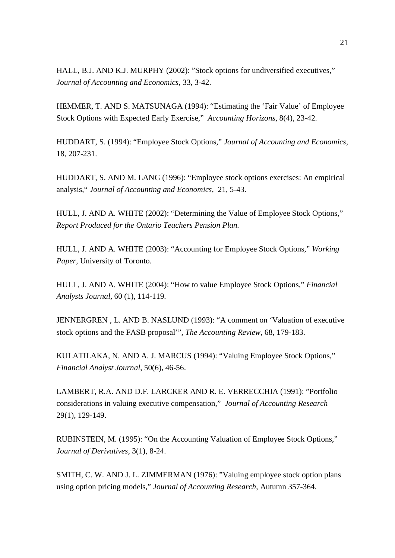HALL, B.J. AND K.J. MURPHY (2002): "Stock options for undiversified executives," *Journal of Accounting and Economics*, 33, 3-42.

HEMMER, T. AND S. MATSUNAGA (1994): "Estimating the 'Fair Value' of Employee Stock Options with Expected Early Exercise," *Accounting Horizons*, 8(4), 23-42.

HUDDART, S. (1994): "Employee Stock Options," *Journal of Accounting and Economics*, 18, 207-231.

HUDDART, S. AND M. LANG (1996): "Employee stock options exercises: An empirical analysis," *Journal of Accounting and Economics*, 21, 5-43.

HULL, J. AND A. WHITE (2002): "Determining the Value of Employee Stock Options," *Report Produced for the Ontario Teachers Pension Plan.*

HULL, J. AND A. WHITE (2003): "Accounting for Employee Stock Options," *Working Paper,* University of Toronto.

HULL, J. AND A. WHITE (2004): "How to value Employee Stock Options," *Financial Analysts Journal,* 60 (1), 114-119.

JENNERGREN , L. AND B. NASLUND (1993): "A comment on 'Valuation of executive stock options and the FASB proposal'", *The Accounting Review*, 68, 179-183.

KULATILAKA, N. AND A. J. MARCUS (1994): "Valuing Employee Stock Options," *Financial Analyst Journal*, 50(6), 46-56.

LAMBERT, R.A. AND D.F. LARCKER AND R. E. VERRECCHIA (1991): "Portfolio considerations in valuing executive compensation," *Journal of Accounting Research* 29(1), 129-149.

RUBINSTEIN, M. (1995): "On the Accounting Valuation of Employee Stock Options," *Journal of Derivatives*, 3(1), 8-24.

SMITH, C. W. AND J. L. ZIMMERMAN (1976): "Valuing employee stock option plans using option pricing models," *Journal of Accounting Research*, Autumn 357-364.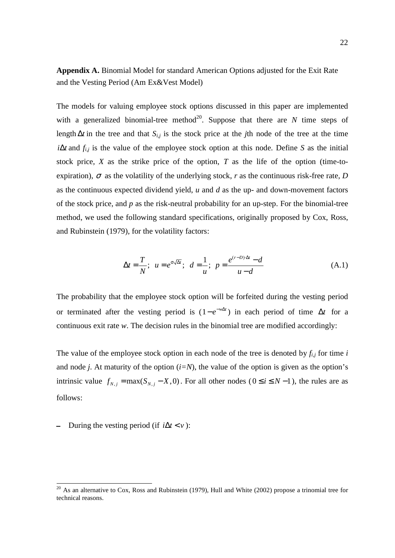**Appendix A.** Binomial Model for standard American Options adjusted for the Exit Rate and the Vesting Period (Am Ex&Vest Model)

The models for valuing employee stock options discussed in this paper are implemented with a generalized binomial-tree method<sup>20</sup>. Suppose that there are  $N$  time steps of length ∆*t* in the tree and that *Si,j* is the stock price at the *j*th node of the tree at the time *i* $\Delta t$  and  $f_{i,j}$  is the value of the employee stock option at this node. Define *S* as the initial stock price, *X* as the strike price of the option, *T* as the life of the option (time-toexpiration),  $\sigma$  as the volatility of the underlying stock, *r* as the continuous risk-free rate, *D* as the continuous expected dividend yield, *u* and *d* as the up- and down-movement factors of the stock price, and *p* as the risk-neutral probability for an up-step. For the binomial-tree method, we used the following standard specifications, originally proposed by Cox, Ross, and Rubinstein (1979), for the volatility factors:

$$
\Delta t = \frac{T}{N}; \ \ u = e^{\sigma \sqrt{\Delta t}}; \ \ d = \frac{1}{u}; \ \ p = \frac{e^{(r-D)\Delta t} - d}{u - d} \tag{A.1}
$$

The probability that the employee stock option will be forfeited during the vesting period or terminated after the vesting period is  $(1 - e^{-w\Delta t})$  in each period of time  $\Delta t$  for a continuous exit rate *w*. The decision rules in the binomial tree are modified accordingly:

The value of the employee stock option in each node of the tree is denoted by  $f_{i,j}$  for time *i* and node *j*. At maturity of the option  $(i=N)$ , the value of the option is given as the option's intrinsic value  $f_{N,i} = \max(S_{N,i} - X, 0)$ . For all other nodes ( $0 \le i \le N - 1$ ), the rules are as follows:

During the vesting period (if  $i\Delta t < v$ ):

 $20$  As an alternative to Cox, Ross and Rubinstein (1979), Hull and White (2002) propose a trinomial tree for technical reasons.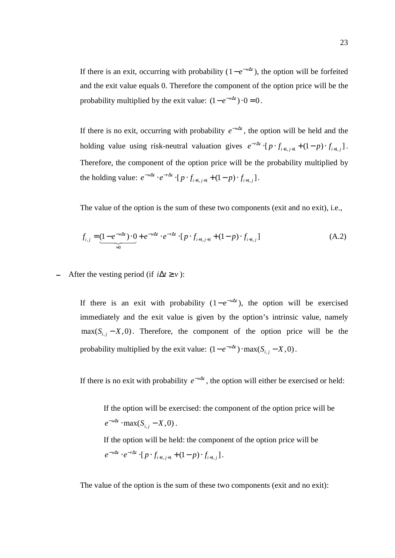If there is an exit, occurring with probability  $(1 - e^{-w\Delta t})$ , the option will be forfeited and the exit value equals 0. Therefore the component of the option price will be the probability multiplied by the exit value:  $(1 - e^{-w\Delta t}) \cdot 0 = 0$ .

If there is no exit, occurring with probability  $e^{-w\Delta t}$ , the option will be held and the holding value using risk-neutral valuation gives  $e^{-r\Delta t} \cdot [p \cdot f_{i+1, j+1} + (1-p) \cdot f_{i+1, j}]$ . Therefore, the component of the option price will be the probability multiplied by the holding value:  $e^{-w\Delta t} \cdot e^{-r\Delta t} \cdot [p \cdot f_{i+1,j+1} + (1-p) \cdot f_{i+1,j}]$ .

The value of the option is the sum of these two components (exit and no exit), i.e.,

$$
f_{i,j} = \underbrace{(1 - e^{-w\Delta t}) \cdot 0}_{=0} + e^{-w\Delta t} \cdot e^{-r\Delta t} \cdot [p \cdot f_{i+1,j+1} + (1 - p) \cdot f_{i+1,j}]
$$
\n(A.2)

After the vesting period (if  $i\Delta t \geq v$ ):

If there is an exit with probability  $(1 - e^{-w\Delta t})$ , the option will be exercised immediately and the exit value is given by the option's intrinsic value, namely  $max(S_{i,j} - X, 0)$ . Therefore, the component of the option price will be the probability multiplied by the exit value:  $(1 - e^{-w\Delta t}) \cdot \max(S_{i,j} - X, 0)$ .

If there is no exit with probability  $e^{-w\Delta t}$ , the option will either be exercised or held:

If the option will be exercised: the component of the option price will be  $e^{-w\Delta t} \cdot \max(S_{i,j} - X, 0)$ .

If the option will be held: the component of the option price will be  $e^{-w\Delta t} \cdot e^{-r\Delta t} \cdot [p \cdot f_{i+1,j+1} + (1-p) \cdot f_{i+1,j}]$ .

The value of the option is the sum of these two components (exit and no exit):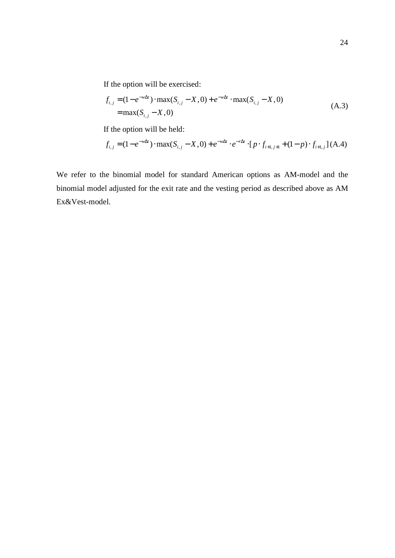If the option will be exercised:

$$
f_{i,j} = (1 - e^{-w\Delta t}) \cdot \max(S_{i,j} - X, 0) + e^{-w\Delta t} \cdot \max(S_{i,j} - X, 0)
$$
  
= max(S<sub>i,j</sub> - X, 0) (A.3)

If the option will be held:

$$
f_{i,j} = (1 - e^{-w\Delta t}) \cdot \max(S_{i,j} - X, 0) + e^{-w\Delta t} \cdot e^{-r\Delta t} \cdot [p \cdot f_{i+1,j+1} + (1-p) \cdot f_{i+1,j}] (A.4)
$$

We refer to the binomial model for standard American options as AM-model and the binomial model adjusted for the exit rate and the vesting period as described above as AM Ex&Vest-model.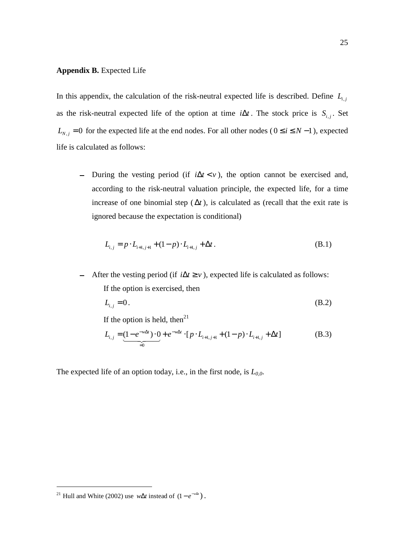#### **Appendix B.** Expected Life

In this appendix, the calculation of the risk-neutral expected life is described. Define  $L_{i,j}$ as the risk-neutral expected life of the option at time  $i\Delta t$ . The stock price is  $S_{i,j}$ . Set  $L_{N,j} = 0$  for the expected life at the end nodes. For all other nodes ( $0 \le i \le N-1$ ), expected life is calculated as follows:

- During the vesting period (if  $i\Delta t < v$ ), the option cannot be exercised and, according to the risk-neutral valuation principle, the expected life, for a time increase of one binomial step  $(\Delta t)$ , is calculated as (recall that the exit rate is ignored because the expectation is conditional)

$$
L_{i,j} = p \cdot L_{i+1,j+1} + (1-p) \cdot L_{i+1,j} + \Delta t. \tag{B.1}
$$

After the vesting period (if  $i\Delta t \geq v$ ), expected life is calculated as follows: If the option is exercised, then

$$
L_{i,j} = 0. \tag{B.2}
$$

If the option is held, then<sup>21</sup>

$$
L_{i,j} = \underbrace{(1 - e^{-w\Delta t}) \cdot 0}_{=0} + e^{-w\Delta t} \cdot [p \cdot L_{i+1,j+1} + (1 - p) \cdot L_{i+1,j} + \Delta t]
$$
 (B.3)

The expected life of an option today, i.e., in the first node, is  $L_{0,0}$ .

<sup>&</sup>lt;sup>21</sup> Hull and White (2002) use *w*∆*t* instead of  $(1 - e^{-w\Delta t})$ .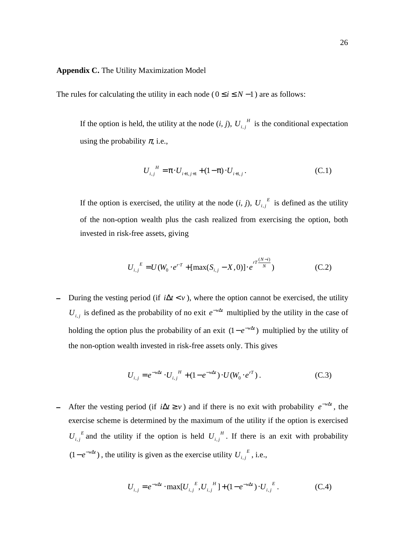#### **Appendix C.** The Utility Maximization Model

The rules for calculating the utility in each node ( $0 \le i \le N - 1$ ) are as follows:

If the option is held, the utility at the node  $(i, j)$ ,  $U_{i,j}$ <sup>*H*</sup> is the conditional expectation using the probability  $\pi$ , i.e.,

$$
U_{i,j}^H = \pi \cdot U_{i+1,j+1} + (1 - \pi) \cdot U_{i+1,j} \,. \tag{C.1}
$$

If the option is exercised, the utility at the node  $(i, j)$ ,  $U_{i,j}^E$  is defined as the utility of the non-option wealth plus the cash realized from exercising the option, both invested in risk-free assets, giving

$$
U_{i,j}^{E} = U(W_0 \cdot e^{rT} + [\max(S_{i,j} - X, 0)] \cdot e^{rT \frac{(N-i)}{N}})
$$
 (C.2)

During the vesting period (if  $i\Delta t < v$ ), where the option cannot be exercised, the utility *U<sub>i,j</sub>* is defined as the probability of no exit  $e^{-w\Delta t}$  multiplied by the utility in the case of holding the option plus the probability of an exit  $(1 - e^{-w\Delta t})$  multiplied by the utility of the non-option wealth invested in risk-free assets only. This gives

$$
U_{i,j} = e^{-w\Delta t} \cdot U_{i,j}^H + (1 - e^{-w\Delta t}) \cdot U(W_0 \cdot e^{rT}).
$$
 (C.3)

After the vesting period (if  $i\Delta t \ge v$ ) and if there is no exit with probability  $e^{-w\Delta t}$ , the exercise scheme is determined by the maximum of the utility if the option is exercised  $U_{i,j}^{\ \ E}$  and the utility if the option is held  $U_{i,j}^{\ \ H}$ . If there is an exit with probability  $(1 - e^{-w\Delta t})$ , the utility is given as the exercise utility  $U_{i,j}^{\ \ E}$ , i.e.,

$$
U_{i,j} = e^{-w\Delta t} \cdot \max[U_{i,j}^{E}, U_{i,j}^{H}] + (1 - e^{-w\Delta t}) \cdot U_{i,j}^{E}. \tag{C.4}
$$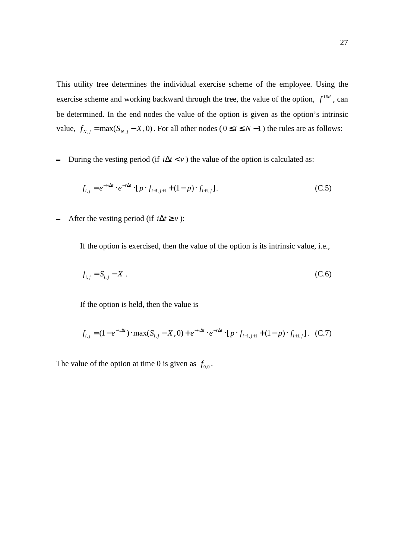This utility tree determines the individual exercise scheme of the employee. Using the exercise scheme and working backward through the tree, the value of the option,  $f^{U_M}$ , can be determined. In the end nodes the value of the option is given as the option's intrinsic value,  $f_{N,i} = \max(S_{N,i} - X, 0)$ . For all other nodes ( $0 \le i \le N - 1$ ) the rules are as follows:

During the vesting period (if  $i\Delta t < v$ ) the value of the option is calculated as:  $\equiv$ 

$$
f_{i,j} = e^{-w\Delta t} \cdot e^{-r\Delta t} \cdot [p \cdot f_{i+1,j+1} + (1-p) \cdot f_{i+1,j}].
$$
 (C.5)

After the vesting period (if  $i\Delta t \geq v$ ):  $\equiv$ 

If the option is exercised, then the value of the option is its intrinsic value, i.e.,

$$
f_{i,j} = S_{i,j} - X \tag{C.6}
$$

If the option is held, then the value is

$$
f_{i,j} = (1 - e^{-w\Delta t}) \cdot \max(S_{i,j} - X, 0) + e^{-w\Delta t} \cdot e^{-r\Delta t} \cdot [p \cdot f_{i+1,j+1} + (1-p) \cdot f_{i+1,j}].
$$
 (C.7)

The value of the option at time 0 is given as  $f_{0,0}$ .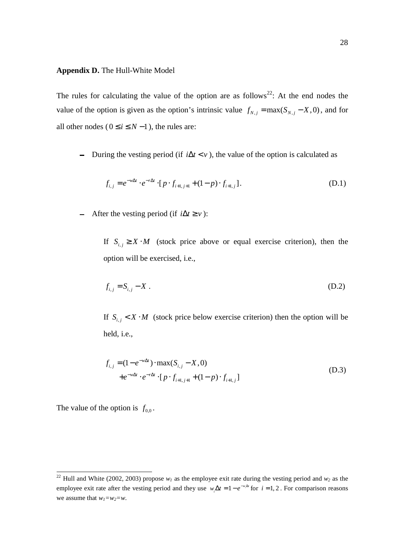#### **Appendix D.** The Hull-White Model

The rules for calculating the value of the option are as follows<sup>22</sup>: At the end nodes the value of the option is given as the option's intrinsic value  $f_{N,j} = \max(S_{N,j} - X, 0)$ , and for all other nodes ( $0 \le i \le N-1$ ), the rules are:

During the vesting period (if *i*∆ <*t v* ), the value of the option is calculated as

$$
f_{i,j} = e^{-w\Delta t} \cdot e^{-r\Delta t} \cdot [p \cdot f_{i+1,j+1} + (1-p) \cdot f_{i+1,j}].
$$
\n(D.1)

After the vesting period (if  $i\Delta t \geq v$ ):

If  $S_{i,j} \ge X \cdot M$  (stock price above or equal exercise criterion), then the option will be exercised, i.e.,

$$
f_{i,j} = S_{i,j} - X \tag{D.2}
$$

If  $S_{i,j} < X \cdot M$  (stock price below exercise criterion) then the option will be held, i.e.,

$$
f_{i,j} = (1 - e^{-w\Delta t}) \cdot \max(S_{i,j} - X, 0)
$$
  
+  $e^{-w\Delta t} \cdot e^{-r\Delta t} \cdot [p \cdot f_{i+1,j+1} + (1-p) \cdot f_{i+1,j}]$  (D.3)

The value of the option is  $f_{0,0}$ .

<sup>&</sup>lt;sup>22</sup> Hull and White (2002, 2003) propose  $w_l$  as the employee exit rate during the vesting period and  $w_2$  as the employee exit rate after the vesting period and they use  $w_i \Delta t = 1 - e^{-w_i \Delta t}$  for  $i = 1, 2$ . For comparison reasons we assume that  $w_1 = w_2 = w$ .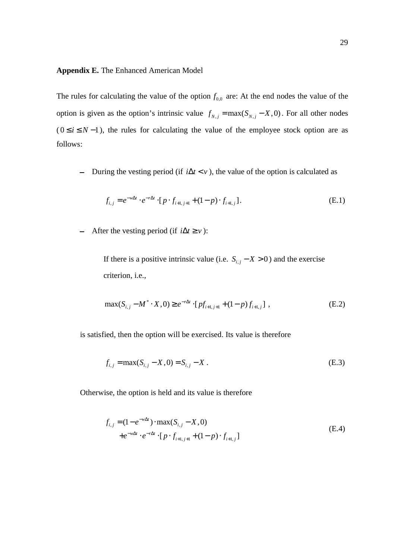#### **Appendix E.** The Enhanced American Model

The rules for calculating the value of the option  $f_{0,0}$  are: At the end nodes the value of the option is given as the option's intrinsic value  $f_{N,j} = \max(S_{N,j} - X, 0)$ . For all other nodes  $(0 \le i \le N-1)$ , the rules for calculating the value of the employee stock option are as follows:

- During the vesting period (if  $i\Delta t < v$ ), the value of the option is calculated as

$$
f_{i,j} = e^{-w\Delta t} \cdot e^{-r\Delta t} \cdot [p \cdot f_{i+1,j+1} + (1-p) \cdot f_{i+1,j}].
$$
 (E.1)

After the vesting period (if  $i\Delta t \geq v$ ):

If there is a positive intrinsic value (i.e.  $S_{i,j} - X > 0$ ) and the exercise criterion, i.e.,

$$
\max(S_{i,j} - M^* \cdot X, 0) \ge e^{-r\Delta t} \cdot [pf_{i+1,j+1} + (1-p)f_{i+1,j}],
$$
\n(E.2)

is satisfied, then the option will be exercised. Its value is therefore

$$
f_{i,j} = \max(S_{i,j} - X, 0) = S_{i,j} - X.
$$
 (E.3)

Otherwise, the option is held and its value is therefore

$$
f_{i,j} = (1 - e^{-w\Delta t}) \cdot \max(S_{i,j} - X, 0)
$$
  
+  $e^{-w\Delta t} \cdot e^{-r\Delta t} \cdot [p \cdot f_{i+1,j+1} + (1-p) \cdot f_{i+1,j}]$  (E.4)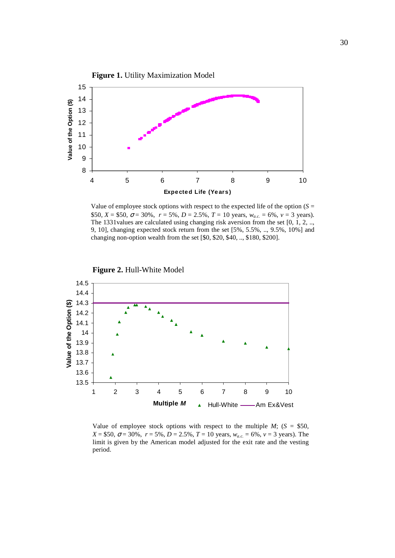

Value of employee stock options with respect to the expected life of the option  $(S =$ \$50,  $X = $50$ ,  $\sigma = 30\%$ ,  $r = 5\%$ ,  $D = 2.5\%$ ,  $T = 10$  years,  $w_{a,c} = 6\%$ ,  $v = 3$  years). The 1331values are calculated using changing risk aversion from the set [0, 1, 2, .., 9, 10], changing expected stock return from the set [5%, 5.5%, .., 9.5%, 10%] and changing non-option wealth from the set [\$0, \$20, \$40, .., \$180, \$200].



Value of employee stock options with respect to the multiple  $M$ ; ( $S = $50$ ,  $X = $50$ ,  $\sigma = 30\%$ ,  $r = 5\%$ ,  $D = 2.5\%$ ,  $T = 10$  years,  $w_{a.c.} = 6\%$ ,  $v = 3$  years). The limit is given by the American model adjusted for the exit rate and the vesting period.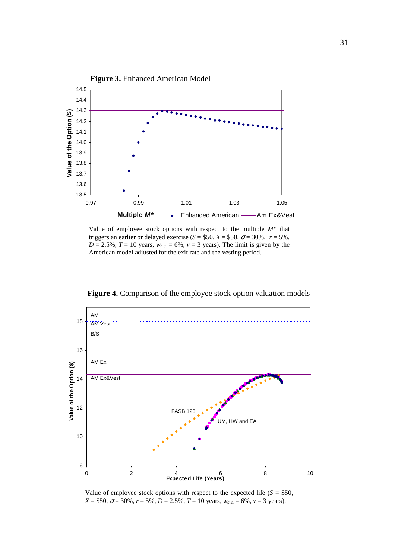

Value of employee stock options with respect to the multiple *M\** that triggers an earlier or delayed exercise ( $S = $50$ ,  $X = $50$ ,  $\sigma = 30\%$ ,  $r = 5\%$ ,  $D = 2.5\%$ ,  $T = 10$  years,  $w_{a,c} = 6\%$ ,  $v = 3$  years). The limit is given by the American model adjusted for the exit rate and the vesting period.



**Figure 4.** Comparison of the employee stock option valuation models

Value of employee stock options with respect to the expected life  $(S = $50,$  $X = $50$ ,  $\sigma = 30\%$ ,  $r = 5\%$ ,  $D = 2.5\%$ ,  $T = 10$  years,  $w_{a.c.} = 6\%$ ,  $v = 3$  years).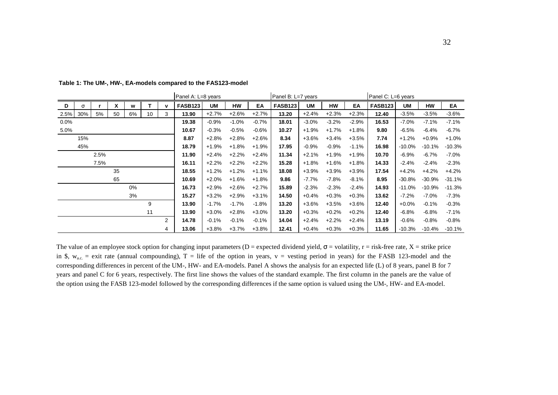|          |     |      |    |    |    |             | Panel A: L=8 years |         |          |         | Panel B: L=7 years |         |         |          | Panel C: L=6 years |           |           |          |
|----------|-----|------|----|----|----|-------------|--------------------|---------|----------|---------|--------------------|---------|---------|----------|--------------------|-----------|-----------|----------|
| D        | σ   |      | X  | W  |    | $\mathbf v$ | <b>FASB123</b>     | UM      | HW       | EA      | <b>FASB123</b>     | UM      | HW      | EA       | <b>FASB123</b>     | UM        | HW        | EA       |
| 2.5% 30% |     | 5%   | 50 | 6% | 10 | 3           | 13.90              | $+2.7%$ | $+2.6%$  | $+2.7%$ | 13.20              | $+2.4%$ | $+2.3%$ | $+2.3%$  | 12.40              | $-3.5%$   | $-3.5%$   | $-3.6%$  |
| 0.0%     |     |      |    |    |    |             | 19.38              | $-0.9%$ | $-1.0\%$ | $-0.7%$ | 18.01              | $-3.0%$ | $-3.2%$ | $-2.9%$  | 16.53              | $-7.0\%$  | $-7.1%$   | $-7.1%$  |
| 5.0%     |     |      |    |    |    |             | 10.67              | $-0.3%$ | $-0.5%$  | $-0.6%$ | 10.27              | $+1.9%$ | $+1.7%$ | $+1.8%$  | 9.80               | $-6.5%$   | $-6.4%$   | $-6.7%$  |
|          | 15% |      |    |    |    |             | 8.87               | $+2.8%$ | $+2.8%$  | $+2.6%$ | 8.34               | $+3.6%$ | $+3.4%$ | $+3.5%$  | 7.74               | $+1.2%$   | $+0.9%$   | $+1.0%$  |
|          | 45% |      |    |    |    |             | 18.79              | $+1.9%$ | $+1.8%$  | $+1.9%$ | 17.95              | $-0.9%$ | $-0.9%$ | $-1.1\%$ | 16.98              | $-10.0\%$ | $-10.1%$  | $-10.3%$ |
|          |     | 2.5% |    |    |    |             | 11.90              | $+2.4%$ | $+2.2%$  | $+2.4%$ | 11.34              | $+2.1%$ | $+1.9%$ | $+1.9%$  | 10.70              | $-6.9%$   | $-6.7\%$  | $-7.0%$  |
|          |     | 7.5% |    |    |    |             | 16.11              | $+2.2%$ | $+2.2%$  | $+2.2%$ | 15.28              | $+1.8%$ | $+1.6%$ | $+1.8%$  | 14.33              | $-2.4%$   | $-2.4%$   | $-2.3%$  |
|          |     |      | 35 |    |    |             | 18.55              | $+1.2%$ | $+1.2%$  | $+1.1%$ | 18.08              | $+3.9%$ | $+3.9%$ | $+3.9%$  | 17.54              | $+4.2%$   | $+4.2%$   | $+4.2%$  |
|          |     |      | 65 |    |    |             | 10.69              | $+2.0%$ | $+1.6%$  | $+1.8%$ | 9.86               | $-7.7%$ | $-7.8%$ | $-8.1%$  | 8.95               | $-30.8%$  | $-30.9%$  | $-31.1%$ |
|          |     |      |    | 0% |    |             | 16.73              | $+2.9%$ | $+2.6%$  | $+2.7%$ | 15.89              | $-2.3%$ | $-2.3%$ | $-2.4%$  | 14.93              | $-11.0%$  | $-10.9%$  | $-11.3%$ |
|          |     |      |    | 3% |    |             | 15.27              | $+3.2%$ | $+2.9%$  | $+3.1%$ | 14.50              | $+0.4%$ | $+0.3%$ | $+0.3%$  | 13.62              | $-7.2\%$  | $-7.0\%$  | $-7.3%$  |
|          |     |      |    |    | 9  |             | 13.90              | $-1.7%$ | $-1.7\%$ | $-1.8%$ | 13.20              | $+3.6%$ | $+3.5%$ | $+3.6%$  | 12.40              | $+0.0%$   | $-0.1%$   | $-0.3%$  |
|          |     |      |    |    | 11 |             | 13.90              | $+3.0%$ | $+2.8%$  | $+3.0%$ | 13.20              | $+0.3%$ | $+0.2%$ | $+0.2%$  | 12.40              | $-6.8%$   | $-6.8%$   | $-7.1%$  |
|          |     |      |    |    |    | 2           | 14.78              | $-0.1%$ | $-0.1%$  | $-0.1%$ | 14.04              | $+2.4%$ | $+2.2%$ | $+2.4%$  | 13.19              | $-0.6%$   | $-0.8%$   | $-0.8%$  |
|          |     |      |    |    |    | 4           | 13.06              | $+3.8%$ | $+3.7%$  | $+3.8%$ | 12.41              | $+0.4%$ | $+0.3%$ | $+0.3%$  | 11.65              | -10.3%    | $-10.4\%$ | $-10.1%$ |

**Table 1: The UM-, HW-, EA-models compared to the FAS123-model**

The value of an employee stock option for changing input parameters (D = expected dividend yield,  $\sigma$  = volatility, r = risk-free rate, X = strike price in \$,  $w_{ac}$  = exit rate (annual compounding), T = life of the option in years, v = vesting period in years) for the FASB 123-model and the corresponding differences in percent of the UM-, HW- and EA-models. Panel A shows the analysis for an expected life (L) of 8 years, panel B for 7 years and panel C for 6 years, respectively. The first line shows the values of the standard example. The first column in the panels are the value of the option using the FASB 123-model followed by the corresponding differences if the same option is valued using the UM-, HW- and EA-model.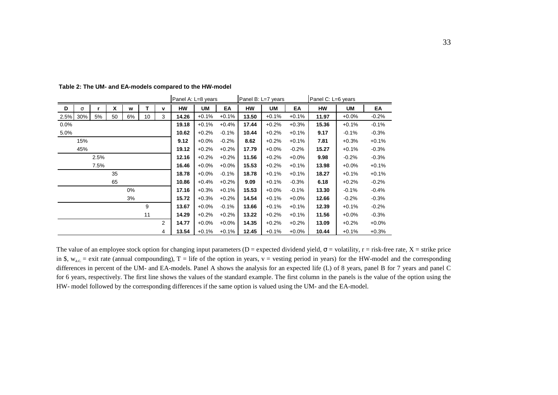|      |          |      |    |       | Panel A: L=8 years |                |           |         | Panel B: L=7 years |           | Panel C: L=6 years |         |           |           |          |
|------|----------|------|----|-------|--------------------|----------------|-----------|---------|--------------------|-----------|--------------------|---------|-----------|-----------|----------|
| D    | $\sigma$ |      | x  | w     | т                  | v              | <b>HW</b> | UM      | EA                 | <b>HW</b> | <b>UM</b>          | EA      | <b>HW</b> | <b>UM</b> | EA       |
| 2.5% | 30%      | 5%   | 50 | 6%    | 10                 | 3              | 14.26     | $+0.1%$ | $+0.1%$            | 13.50     | $+0.1%$            | $+0.1%$ | 11.97     | $+0.0%$   | $-0.2%$  |
| 0.0% |          |      |    |       |                    |                | 19.18     | $+0.1%$ | $+0.4%$            | 17.44     | $+0.2%$            | $+0.3%$ | 15.36     | $+0.1%$   | $-0.1\%$ |
| 5.0% |          |      |    |       |                    |                | 10.62     | $+0.2%$ | $-0.1%$            | 10.44     | $+0.2%$            | $+0.1%$ | 9.17      | $-0.1%$   | $-0.3%$  |
|      | 15%      |      |    |       |                    |                | 9.12      | $+0.0%$ | $-0.2%$            | 8.62      | $+0.2%$            | $+0.1%$ | 7.81      | $+0.3%$   | $+0.1%$  |
|      | 45%      |      |    |       |                    |                | 19.12     | $+0.2%$ | $+0.2%$            | 17.79     | $+0.0%$            | $-0.2%$ | 15.27     | $+0.1%$   | $-0.3%$  |
|      |          | 2.5% |    |       |                    |                | 12.16     | $+0.2%$ | $+0.2%$            | 11.56     | $+0.2%$            | $+0.0%$ | 9.98      | $-0.2%$   | $-0.3%$  |
|      |          | 7.5% |    |       |                    |                | 16.46     | $+0.0%$ | $+0.0%$            | 15.53     | $+0.2%$            | $+0.1%$ | 13.98     | $+0.0%$   | $+0.1%$  |
|      |          |      | 35 |       |                    |                | 18.78     | $+0.0%$ | $-0.1%$            | 18.78     | $+0.1%$            | $+0.1%$ | 18.27     | $+0.1%$   | $+0.1%$  |
|      |          |      | 65 |       |                    |                | 10.86     | $+0.4%$ | $+0.2%$            | 9.09      | $+0.1%$            | $-0.3%$ | 6.18      | $+0.2%$   | $-0.2\%$ |
|      |          |      |    | $0\%$ |                    |                | 17.16     | $+0.3%$ | $+0.1%$            | 15.53     | $+0.0%$            | $-0.1%$ | 13.30     | $-0.1%$   | $-0.4%$  |
|      |          |      |    | 3%    |                    |                | 15.72     | $+0.3%$ | $+0.2%$            | 14.54     | $+0.1%$            | $+0.0%$ | 12.66     | $-0.2%$   | $-0.3%$  |
|      |          |      |    |       | 9                  |                | 13.67     | $+0.0%$ | $-0.1%$            | 13.66     | $+0.1%$            | $+0.1%$ | 12.39     | $+0.1%$   | $-0.2\%$ |
|      |          |      |    |       | 11                 |                | 14.29     | $+0.2%$ | $+0.2%$            | 13.22     | $+0.2%$            | $+0.1%$ | 11.56     | $+0.0%$   | $-0.3%$  |
|      |          |      |    |       |                    | $\overline{2}$ | 14.77     | $+0.0%$ | $+0.0%$            | 14.35     | $+0.2%$            | $+0.2%$ | 13.09     | $+0.2%$   | $+0.0%$  |
|      |          |      |    |       |                    | 4              | 13.54     | $+0.1%$ | $+0.1%$            | 12.45     | $+0.1%$            | $+0.0%$ | 10.44     | $+0.1%$   | $+0.3%$  |

**Table 2: The UM- and EA-models compared to the HW-model**

The value of an employee stock option for changing input parameters (D = expected dividend yield,  $\sigma$  = volatility, r = risk-free rate, X = strike price in \$,  $w_{ac}$  = exit rate (annual compounding), T = life of the option in years, v = vesting period in years) for the HW-model and the corresponding differences in percent of the UM- and EA-models. Panel A shows the analysis for an expected life (L) of 8 years, panel B for 7 years and panel C for 6 years, respectively. The first line shows the values of the standard example. The first column in the panels is the value of the option using the HW- model followed by the corresponding differences if the same option is valued using the UM- and the EA-model.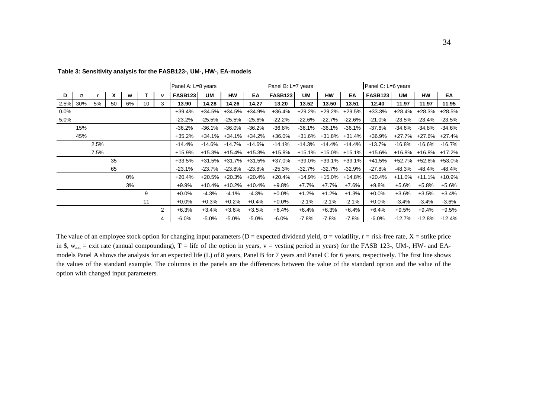|      |          |      |    |    |    |             | Panel A: L=8 years |          |                               |               | Panel B: L=7 years |           |                      |          | Panel C: L=6 years |          |                      |          |
|------|----------|------|----|----|----|-------------|--------------------|----------|-------------------------------|---------------|--------------------|-----------|----------------------|----------|--------------------|----------|----------------------|----------|
| D    | $\sigma$ |      | X  | w  |    | $\mathbf v$ | <b>FASB123</b>     | UM       | <b>HW</b>                     | EA            | <b>FASB123</b>     | UM        | <b>HW</b>            | EA       | <b>FASB123</b>     | UM       | <b>HW</b>            | EA       |
|      | 2.5% 30% | 5%   | 50 | 6% | 10 | 3           | 13.90              | 14.28    | 14.26                         | 14.27         | 13.20              | 13.52     | 13.50                | 13.51    | 12.40              | 11.97    | 11.97                | 11.95    |
| 0.0% |          |      |    |    |    |             | $+39.4%$           | $+34.5%$ | +34.5%                        | $+34.9%$      | $+36.4%$           | $+29.2%$  | +29.2%               | $+29.5%$ | $+33.3%$           | $+28.4%$ | +28.3%               | $+28.5%$ |
| 5.0% |          |      |    |    |    |             | $-23.2\%$          | -25.5%   | -25.5%                        | -25.6%        | $-22.2%$           | -22.6%    | -22.7%               | -22.6%   | $-21.0\%$          | $-23.5%$ | -23.4%               | $-23.5%$ |
|      | 15%      |      |    |    |    |             | $-36.2%$           | -36.1%   | $-36.0\%$                     | $-36.2\%$     | $-36.8%$           | $-36.1%$  | -36.1%               | $-36.1%$ | $-37.6%$           | $-34.6%$ | -34.8%               | $-34.6%$ |
|      | 45%      |      |    |    |    |             | $+35.2%$           | +34.1%   | +34.1%                        | +34.2%        | $+36.0%$           |           | +31.6% +31.8%        | $+31.4%$ | +36.9%             | +27.7%   | +27.6% +27.4%        |          |
|      |          | 2.5% |    |    |    |             | $-14.4%$           | $-14.6%$ | -14.7%                        | $-14.6%$      | $-14.1%$           | $-14.3%$  | -14.4%               | -14.4%   | $-13.7%$           | $-16.8%$ | -16.6%               | -16.7%   |
|      |          | 7.5% |    |    |    |             | $+15.9%$           |          | $+15.3\%$ $+15.4\%$ $+15.3\%$ |               | $+15.8%$           |           | +15.1% +15.0% +15.1% |          | $+15.6%$           |          | +16.8% +16.8% +17.2% |          |
|      |          |      | 35 |    |    |             | $+33.5%$           | +31.5%   |                               | +31.7% +31.5% | $+37.0%$           |           | +39.0% +39.1%        | $+39.1%$ | +41.5%             |          | +52.7% +52.6% +53.0% |          |
|      |          |      | 65 |    |    |             | $-23.1\%$          | -23.7%   | -23.8%                        | $-23.8%$      | $-25.3%$           | $-32.7\%$ | -32.7%               | -32.9%   | $-27.8%$           | -48.3%   | -48.4%               | -48.4%   |
|      |          |      |    | 0% |    |             | $+20.4%$           | +20.5%   | +20.3%                        | +20.4%        | $+20.4%$           | $+14.9%$  | +15.0%               | +14.8%   | $+20.4%$           | $+11.0%$ | $+11.1\%$            | $+10.9%$ |
|      |          |      |    | 3% |    |             | $+9.9%$            |          | $+10.4\%$ $+10.2\%$           | $+10.4%$      | $+9.8%$            | $+7.7%$   | +7.7%                | $+7.6%$  | $+9.8%$            | $+5.6%$  | $+5.8%$              | $+5.6%$  |
|      |          |      |    |    | 9  |             | $+0.0%$            | $-4.3%$  | $-4.1%$                       | $-4.3%$       | $+0.0%$            | $+1.2%$   | $+1.2%$              | $+1.3%$  | $+0.0%$            | $+3.6%$  | $+3.5%$              | $+3.4%$  |
|      |          |      |    |    | 11 |             | $+0.0\%$           | $+0.3%$  | $+0.2\%$                      | $+0.4%$       | $+0.0\%$           | $-2.1%$   | $-2.1\%$             | $-2.1\%$ | $+0.0\%$           | $-3.4%$  | $-3.4\%$             | $-3.6\%$ |
|      |          |      |    |    |    | 2           | $+6.3%$            | $+3.4%$  | $+3.6%$                       | $+3.5%$       | $+6.4%$            | $+6.4%$   | $+6.3%$              | $+6.4%$  | $+6.4%$            | $+9.5%$  | $+9.4%$              | $+9.5%$  |
|      |          |      |    |    |    | 4           | -6.0%              | $-5.0%$  | $-5.0\%$                      | $-5.0\%$      | $-6.0\%$           | $-7.8\%$  | $-7.8%$              | $-7.8\%$ | $-6.0\%$           | $-12.7%$ | -12.8%               | $-12.4%$ |

**Table 3: Sensitivity analysis for the FASB123-, UM-, HW-, EA-models**

The value of an employee stock option for changing input parameters (D = expected dividend yield,  $\sigma$  = volatility, r = risk-free rate, X = strike price in \$,  $w_{ac}$  = exit rate (annual compounding), T = life of the option in years, v = vesting period in years) for the FASB 123-, UM-, HW- and EAmodels Panel A shows the analysis for an expected life (L) of 8 years, Panel B for 7 years and Panel C for 6 years, respectively. The first line shows the values of the standard example. The columns in the panels are the differences between the value of the standard option and the value of the option with changed input parameters.